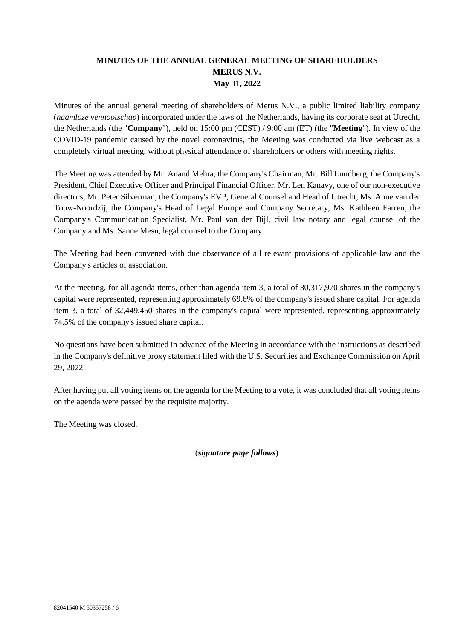## **MINUTES OF THE ANNUAL GENERAL MEETING OF SHAREHOLDERS MERUS N.V. May 31, 2022**

Minutes of the annual general meeting of shareholders of Merus N.V., a public limited liability company (*naamloze vennootschap*) incorporated under the laws of the Netherlands, having its corporate seat at Utrecht, the Netherlands (the "**Company**"), held on 15:00 pm (CEST) / 9:00 am (ET) (the "**Meeting**"). In view of the COVID-19 pandemic caused by the novel coronavirus, the Meeting was conducted via live webcast as a completely virtual meeting, without physical attendance of shareholders or others with meeting rights.

The Meeting was attended by Mr. Anand Mehra, the Company's Chairman, Mr. Bill Lundberg, the Company's President, Chief Executive Officer and Principal Financial Officer, Mr. Len Kanavy, one of our non-executive directors, Mr. Peter Silverman, the Company's EVP, General Counsel and Head of Utrecht, Ms. Anne van der Touw-Noordzij, the Company's Head of Legal Europe and Company Secretary, Ms. Kathleen Farren, the Company's Communication Specialist, Mr. Paul van der Bijl, civil law notary and legal counsel of the Company and Ms. Sanne Mesu, legal counsel to the Company.

The Meeting had been convened with due observance of all relevant provisions of applicable law and the Company's articles of association.

At the meeting, for all agenda items, other than agenda item 3, a total of 30,317,970 shares in the company's capital were represented, representing approximately 69.6% of the company's issued share capital. For agenda item 3, a total of 32,449,450 shares in the company's capital were represented, representing approximately 74.5% of the company's issued share capital.

No questions have been submitted in advance of the Meeting in accordance with the instructions as described in the Company's definitive proxy statement filed with the U.S. Securities and Exchange Commission on April 29, 2022.

After having put all voting items on the agenda for the Meeting to a vote, it was concluded that all voting items on the agenda were passed by the requisite majority.

The Meeting was closed.

(*signature page follows*)